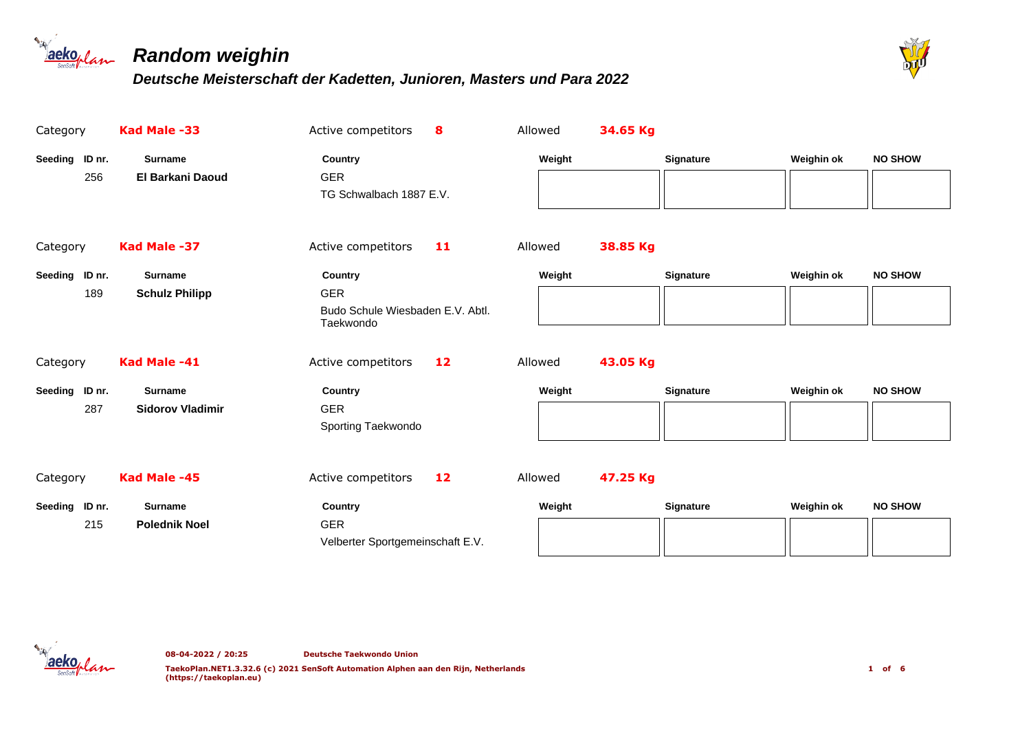



| Category              | Kad Male -33                              | Active competitors<br>8                                                | Allowed | 34.65 Kg |                  |            |                |
|-----------------------|-------------------------------------------|------------------------------------------------------------------------|---------|----------|------------------|------------|----------------|
| Seeding ID nr.<br>256 | <b>Surname</b><br><b>El Barkani Daoud</b> | Country<br><b>GER</b><br>TG Schwalbach 1887 E.V.                       | Weight  |          | Signature        | Weighin ok | <b>NO SHOW</b> |
| Category              | Kad Male -37                              | Active competitors<br>11                                               | Allowed | 38.85 Kg |                  |            |                |
| Seeding ID nr.<br>189 | <b>Surname</b><br><b>Schulz Philipp</b>   | Country<br><b>GER</b><br>Budo Schule Wiesbaden E.V. Abtl.<br>Taekwondo | Weight  |          | Signature        | Weighin ok | <b>NO SHOW</b> |
| Category              | Kad Male -41                              | Active competitors<br>12                                               | Allowed | 43.05 Kg |                  |            |                |
| Seeding ID nr.<br>287 | <b>Surname</b><br><b>Sidorov Vladimir</b> | Country<br><b>GER</b><br>Sporting Taekwondo                            | Weight  |          | Signature        | Weighin ok | <b>NO SHOW</b> |
| Category              | Kad Male -45                              | Active competitors<br>12                                               | Allowed | 47.25 Kg |                  |            |                |
| Seeding ID nr.<br>215 | <b>Surname</b><br><b>Polednik Noel</b>    | Country<br><b>GER</b><br>Velberter Sportgemeinschaft E.V.              | Weight  |          | <b>Signature</b> | Weighin ok | <b>NO SHOW</b> |

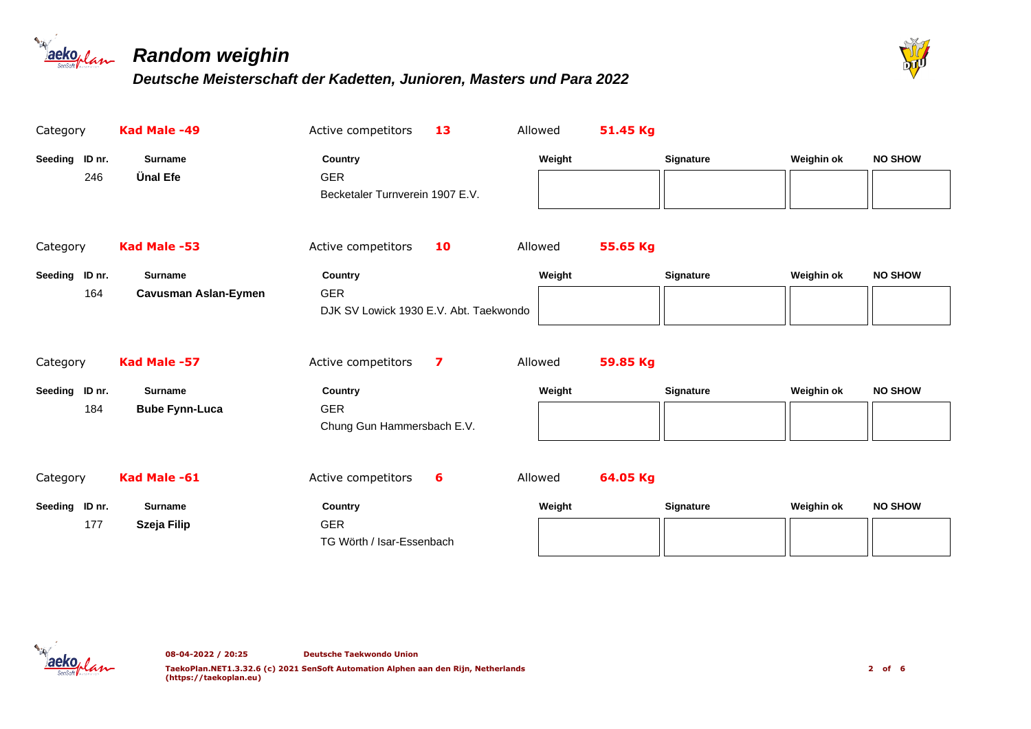



| Category          | Kad Male -49                | Active competitors                     | 13 | Allowed | 51.45 Kg |                  |            |                |
|-------------------|-----------------------------|----------------------------------------|----|---------|----------|------------------|------------|----------------|
| Seeding ID nr.    | <b>Surname</b>              | Country                                |    | Weight  |          | Signature        | Weighin ok | <b>NO SHOW</b> |
| 246               | <b>Ünal Efe</b>             | <b>GER</b>                             |    |         |          |                  |            |                |
|                   |                             | Becketaler Turnverein 1907 E.V.        |    |         |          |                  |            |                |
|                   |                             |                                        |    |         |          |                  |            |                |
| Category          | Kad Male -53                | Active competitors                     | 10 | Allowed | 55.65 Kg |                  |            |                |
| Seeding ID nr.    | <b>Surname</b>              | <b>Country</b>                         |    | Weight  |          | <b>Signature</b> | Weighin ok | <b>NO SHOW</b> |
| 164               | <b>Cavusman Aslan-Eymen</b> | <b>GER</b>                             |    |         |          |                  |            |                |
|                   |                             | DJK SV Lowick 1930 E.V. Abt. Taekwondo |    |         |          |                  |            |                |
|                   |                             |                                        |    |         |          |                  |            |                |
| Category          | Kad Male -57                | Active competitors                     | 7  | Allowed | 59.85 Kg |                  |            |                |
| Seeding<br>ID nr. | <b>Surname</b>              | Country                                |    | Weight  |          | <b>Signature</b> | Weighin ok | <b>NO SHOW</b> |
| 184               | <b>Bube Fynn-Luca</b>       | <b>GER</b>                             |    |         |          |                  |            |                |
|                   |                             | Chung Gun Hammersbach E.V.             |    |         |          |                  |            |                |
|                   |                             |                                        |    |         |          |                  |            |                |
| Category          | Kad Male -61                | Active competitors                     | 6  | Allowed | 64.05 Kg |                  |            |                |
| Seeding ID nr.    | <b>Surname</b>              | Country                                |    | Weight  |          | <b>Signature</b> | Weighin ok | <b>NO SHOW</b> |
| 177               | Szeja Filip                 | <b>GER</b>                             |    |         |          |                  |            |                |
|                   |                             | TG Wörth / Isar-Essenbach              |    |         |          |                  |            |                |

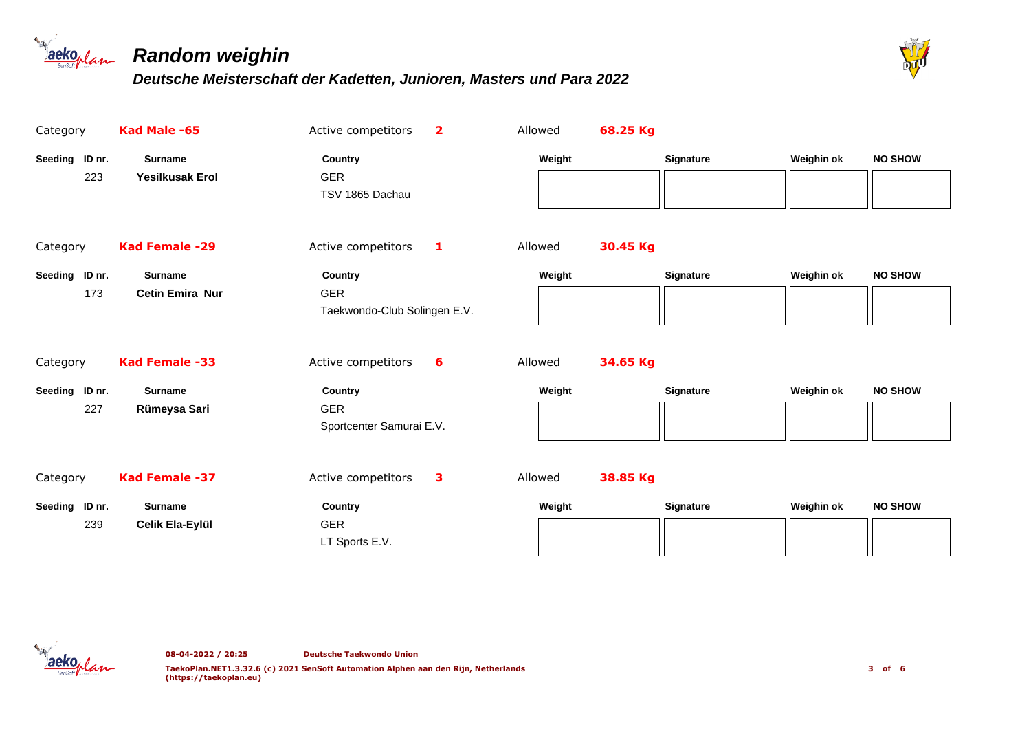



| Category              | Kad Male -65                             | Active competitors<br>$\overline{\mathbf{2}}$         | Allowed | 68.25 Kg |                  |            |                |
|-----------------------|------------------------------------------|-------------------------------------------------------|---------|----------|------------------|------------|----------------|
| Seeding ID nr.<br>223 | <b>Surname</b><br><b>Yesilkusak Erol</b> | Country<br><b>GER</b><br>TSV 1865 Dachau              |         | Weight   | <b>Signature</b> | Weighin ok | <b>NO SHOW</b> |
| Category              | Kad Female -29                           | Active competitors<br>$\blacksquare$                  | Allowed | 30.45 Kg |                  |            |                |
| Seeding ID nr.<br>173 | <b>Surname</b><br><b>Cetin Emira Nur</b> | Country<br><b>GER</b><br>Taekwondo-Club Solingen E.V. |         | Weight   | <b>Signature</b> | Weighin ok | <b>NO SHOW</b> |
| Category              | Kad Female -33                           | Active competitors<br>6                               | Allowed | 34.65 Kg |                  |            |                |
| Seeding ID nr.<br>227 | <b>Surname</b><br>Rümeysa Sari           | Country<br><b>GER</b><br>Sportcenter Samurai E.V.     |         | Weight   | <b>Signature</b> | Weighin ok | <b>NO SHOW</b> |
| Category              | Kad Female -37                           | Active competitors<br>3                               | Allowed | 38.85 Kg |                  |            |                |
| Seeding ID nr.<br>239 | <b>Surname</b><br>Celik Ela-Eylül        | Country<br><b>GER</b><br>LT Sports E.V.               |         | Weight   | <b>Signature</b> | Weighin ok | <b>NO SHOW</b> |

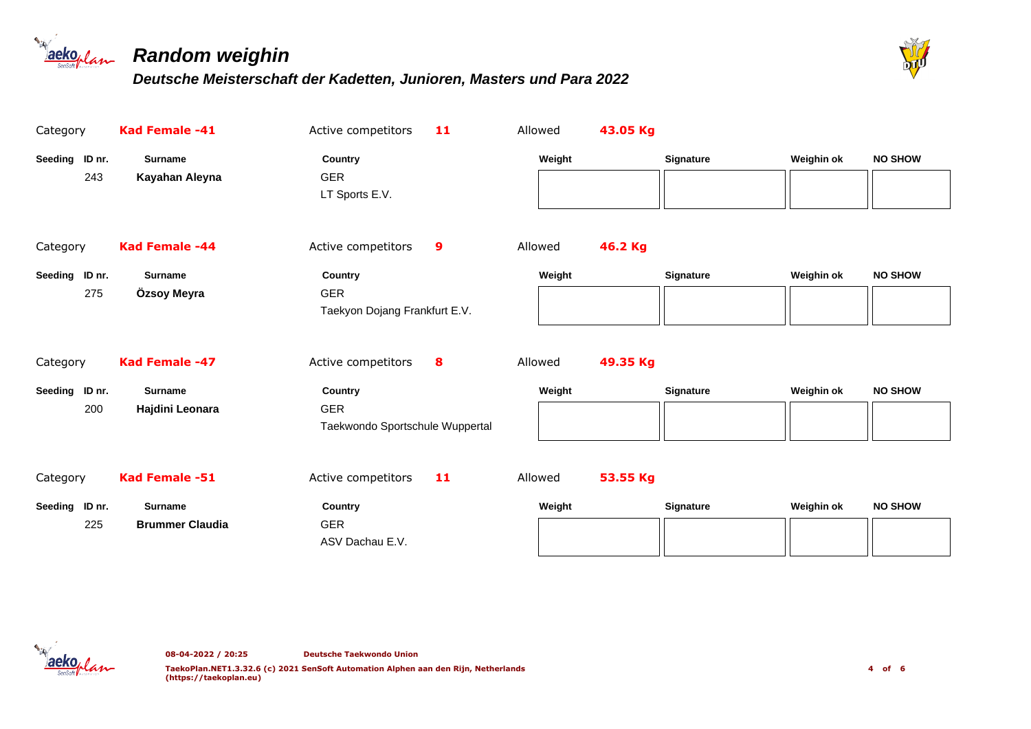



| Category                 | Kad Female -41                           | Active competitors<br>11                                 | Allowed | 43.05 Kg |                  |            |                |
|--------------------------|------------------------------------------|----------------------------------------------------------|---------|----------|------------------|------------|----------------|
| Seeding ID nr.<br>243    | <b>Surname</b><br>Kayahan Aleyna         | Country<br><b>GER</b><br>LT Sports E.V.                  | Weight  |          | Signature        | Weighin ok | <b>NO SHOW</b> |
| Category                 | Kad Female -44                           | Active competitors<br>9                                  | Allowed | 46.2 Kg  |                  |            |                |
| Seeding ID nr.<br>275    | <b>Surname</b><br>Özsoy Meyra            | Country<br><b>GER</b><br>Taekyon Dojang Frankfurt E.V.   | Weight  |          | Signature        | Weighin ok | <b>NO SHOW</b> |
| Category                 | Kad Female -47                           | Active competitors<br>8                                  | Allowed | 49.35 Kg |                  |            |                |
| Seeding ID nr.<br>200    | <b>Surname</b><br>Hajdini Leonara        | Country<br><b>GER</b><br>Taekwondo Sportschule Wuppertal | Weight  |          | Signature        | Weighin ok | <b>NO SHOW</b> |
| Category                 | Kad Female -51                           | 11<br>Active competitors                                 | Allowed | 53.55 Kg |                  |            |                |
| ID nr.<br>Seeding<br>225 | <b>Surname</b><br><b>Brummer Claudia</b> | Country<br><b>GER</b><br>ASV Dachau E.V.                 | Weight  |          | <b>Signature</b> | Weighin ok | <b>NO SHOW</b> |

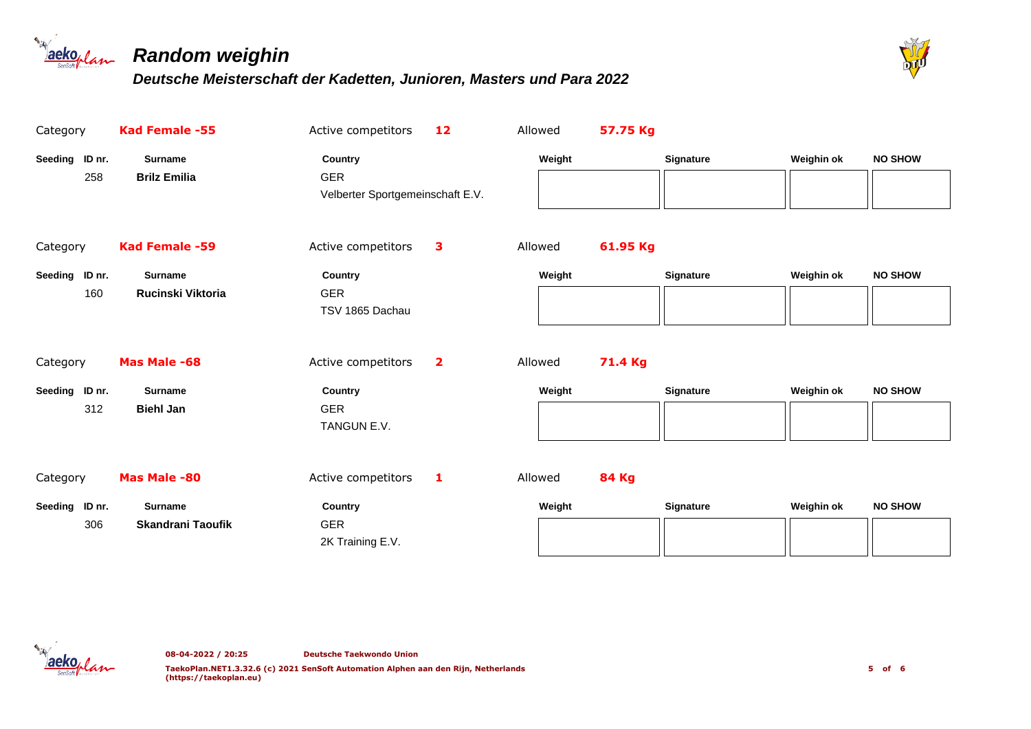



| Category              | Kad Female -55                             | Active competitors                                        | 12                      | Allowed | 57.75 Kg     |                  |            |                |
|-----------------------|--------------------------------------------|-----------------------------------------------------------|-------------------------|---------|--------------|------------------|------------|----------------|
| Seeding ID nr.<br>258 | <b>Surname</b><br><b>Brilz Emilia</b>      | Country<br><b>GER</b><br>Velberter Sportgemeinschaft E.V. |                         | Weight  |              | <b>Signature</b> | Weighin ok | <b>NO SHOW</b> |
| Category              | Kad Female -59                             | Active competitors                                        | 3                       | Allowed | 61.95 Kg     |                  |            |                |
| Seeding ID nr.<br>160 | <b>Surname</b><br>Rucinski Viktoria        | Country<br><b>GER</b><br>TSV 1865 Dachau                  |                         | Weight  |              | Signature        | Weighin ok | <b>NO SHOW</b> |
| Category              | Mas Male -68                               | Active competitors                                        | $\overline{\mathbf{2}}$ | Allowed | 71.4 Kg      |                  |            |                |
| Seeding ID nr.<br>312 | <b>Surname</b><br><b>Biehl Jan</b>         | Country<br><b>GER</b><br>TANGUN E.V.                      |                         | Weight  |              | Signature        | Weighin ok | <b>NO SHOW</b> |
| Category              | Mas Male -80                               | Active competitors                                        | 1                       | Allowed | <b>84 Kg</b> |                  |            |                |
| Seeding ID nr.<br>306 | <b>Surname</b><br><b>Skandrani Taoufik</b> | Country<br><b>GER</b><br>2K Training E.V.                 |                         | Weight  |              | <b>Signature</b> | Weighin ok | <b>NO SHOW</b> |